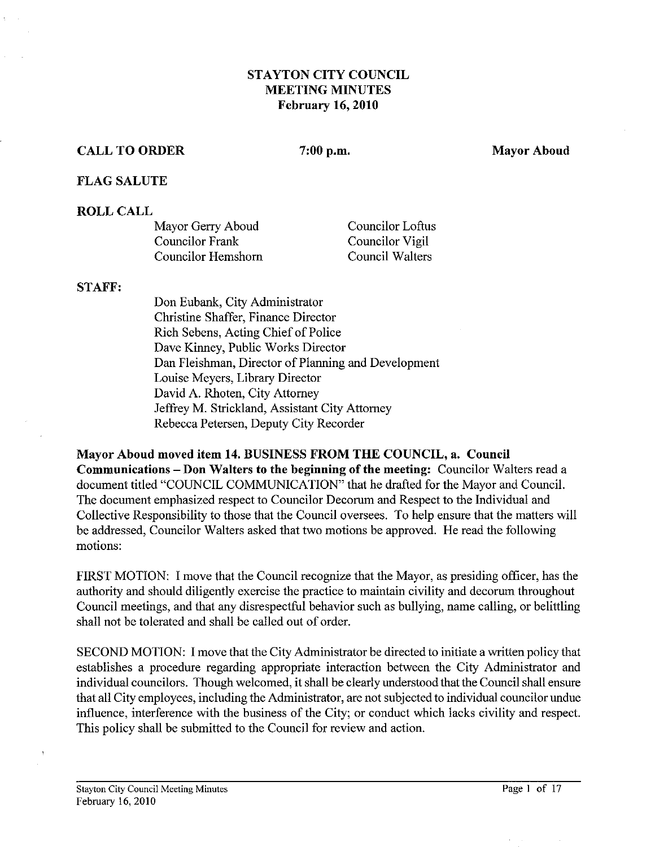## **STAYTON CITY COUNCIL MEETING MINUTES February 16,2010**

## **CALL TO ORDER 7:00 p.m. Mayor Aboud**

### **FLAG SALUTE**

### **ROLL CALL**

| Mayor Gerry Aboud  | Councilor Loftus |
|--------------------|------------------|
| Councilor Frank    | Councilor Vigil  |
| Councilor Hemshorn | Council Walters  |

#### **STAFF:**

Don Eubank, City Administrator Christine Shaffer, Finance Director Rich Sebens, Acting Chief of Police Dave Kinney, Public Works Director Dan Fleishman, Director of Planning and Development Louise Meyers, Library Director David A. Rhoten, City Attorney Jeffrey M. Strickland, Assistant City Attorney Rebecca Petersen, Deputy City Recorder

**Mayor Aboud moved item 14. BUSINESS FROM THE COUNCIL, a. Council** 

**Communications -Don Walters to the beginning of the meeting:** Councilor Walters read a document titled "COUNCIL COMMUNICATION" that he drafted for the Mayor and Council. The document emphasized respect to Councilor Decorum and Respect to the Individual and Collective Responsibility to those that the Council oversees. To help ensure that the matters will be addressed, Councilor Walters asked that two motions be approved. He read the following motions:

FIRST MOTION: I move that the Council recognize that the Mayor, as presiding officer, has the authority and should diligently exercise the practice to maintain civility and decorum throughout Council meetings, and that any disrespectful behavior such as bullying, name calling, or belittling shall not be tolerated and shall be called out of order.

SECOND MOTION: I move that the City Administrator be directed to initiate a written policy that establishes a procedure regarding appropriate interaction between the City Administrator and individual councilors. Though welcomed, it shall be clearly understood that the Council shall ensure that all City employees, including the Administrator, are not subjected to individual councilor undue influence, interference with the business of the City; or conduct which lacks civility and respect. This policy shall be submitted to the Council for review and action.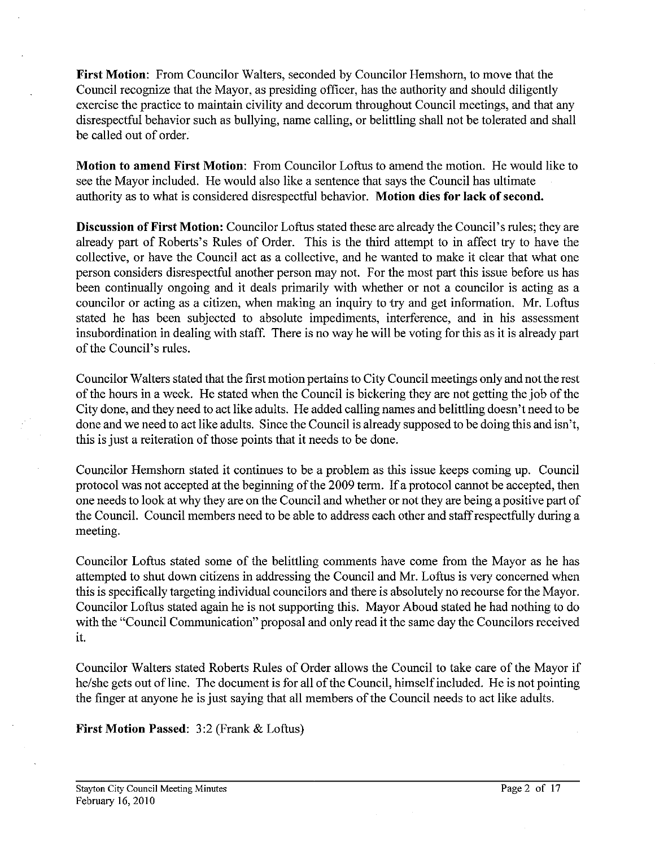**First Motion:** From Councilor Walters, seconded by Councilor Hemshom, to move that the Council recognize that the Mayor, as presiding officer, has the authority and should diligently exercise the practice to maintain civility and decorum throughout Council meetings, and that any disrespectful behavior such as bullying, name calling, or belittling shall not be tolerated and shall be called out of order.

**Motion to amend First Motion:** From Councilor Loftus to amend the motion. He would like to see the Mayor included. He would also like a sentence that says the Council has ultimate authority as to what is considered disrespectful behavior. **Motion dies for lack of second.** 

**Discussion of First Motion:** Councilor Loftus stated these are already the Council's rules; they are already part of Roberts's Rules of Order. This is the third attempt to in affect try to have the collective, or have the Council act as a collective, and he wanted to make it clear that what one person considers disrespectful another person may not. For the most part this issue before us has been continually ongoing and it deals primarily with whether or not a councilor is acting as a councilor or acting as a citizen, when making an inquiry to try and get information. Mr. Loftus stated he has been subjected to absolute impediments, interference, and in his assessment insubordination in dealing with staff. There is no way he will be voting for this as it is already part of the Council's rules.

Councilor Walters stated that the first motion pertains to City Council meetings only and not the rest of the hours in a week. He stated when the Council is bickering they are not getting the job of the City done, and they need to act like adults. He added calling names and belittling doesn't need to be done and we need to act like adults. Since the Council is already supposed to be doing this and isn't, this is just a reiteration of those points that it needs to be done.

Councilor Hemshom stated it continues to be a problem as this issue keeps coming up. Council protocol was not accepted at the beginning of the 2009 term. If a protocol cannot be accepted, then one needs to look at why they are on the Council and whether or not they are being a positive part of the Council. Council members need to be able to address each other and staff respectfully during a meeting.

Councilor Loftus stated some of the belittling comments have come from the Mayor as he has attempted to shut down citizens in addressing the Council and Mr. Loftus is very concerned when this is specifically targeting individual councilors and there is absolutely no recourse for the Mayor. Councilor Loftus stated again he is not supporting this. Mayor Aboud stated he had nothing to do with the "Council Communication" proposal and only read it the same day the Councilors received it.

Councilor Walters stated Roberts Rules of Order allows the Council to take care of the Mayor if he/she gets out of line. The document is for all of the Council, himself included. He is not pointing the finger at anyone he is just saying that all members of the Council needs to act like adults.

**First Motion Passed: 3:2** (Frank & Loftus)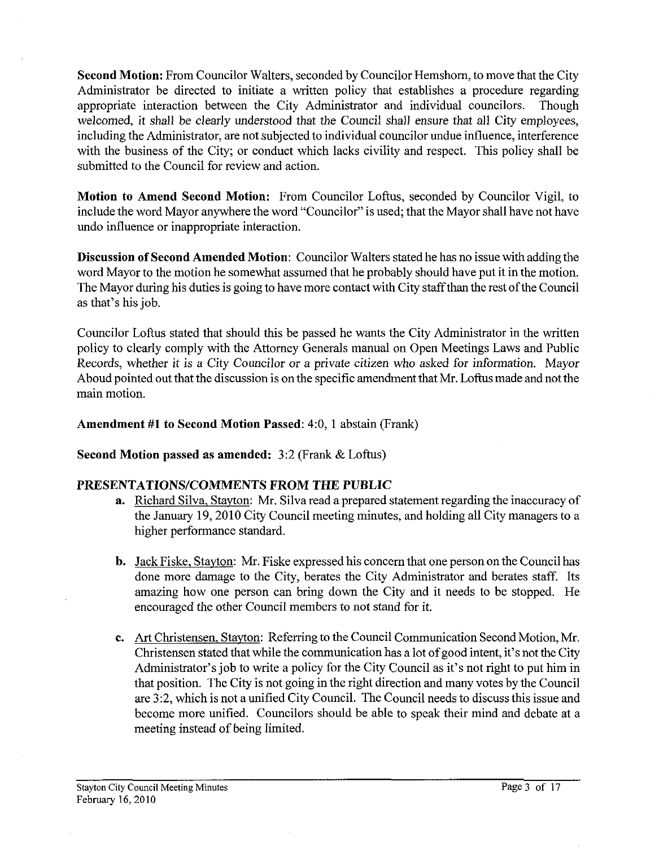**Second Motion:** From Councilor Walters, seconded by Councilor Hemshom, to move that the City Administrator be directed to initiate a written policy that establishes a procedure regarding appropriate interaction between the City Administrator and individual councilors. Though welcomed, it shall be clearly understood that the Council shall ensure that all City employees, including the Administrator, are not subjected to individual councilor undue influence, interference with the business of the City; or conduct which lacks civility and respect. This policy shall be submitted to the Council for review and action.

**Motion to Amend Second Motion:** From Councilor Loftus, seconded by Councilor Vigil, to include the word Mayor anywhere the word "Councilor" is used; that the Mayor shall have not have undo influence or inappropriate interaction.

**Discussion of Second Amended Motion:** Councilor Walters stated he has no issue with adding the word Mayor to the motion he somewhat assumed that he probably should have put it in the motion. The Mayor during his duties is going to have more contact with City staff than the rest of the Council as that's his job.

Councilor Loftus stated that should this be passed he wants the City Administrator in the written policy to clearly comply with the Attomey Generals manual on Open Meetings Laws and Public Records, whether it is a City Councilor or a private citizen who asked for information. Mayor Aboud pointed out that the discussion is on the specific amendment that Mr. Loftus made and not the main motion.

## **Amendment #1 to Second Motion Passed:** 4:0, **1** abstain (Frank)

**Second Motion passed as amended:** 3:2 (Frank & Loftus)

# **PRESENTATIONS/COMMENTS PROM THE PUBLIC**

- **a.** Richard Silva. Stayton: Mr. Silva read a prepared statement regarding the inaccuracy of the January 19,2010 City Council meeting minutes, and holding all City managers to a higher performance standard.
- b. Jack Fiske, Stayton: Mr. Fiske expressed his concern that one person on the Council has done more damage to the City, berates the City Administrator and berates staff. Its amazing how one person can bring down the City and it needs to be stopped. He encouraged the other Council members to not stand for it.
- **c.** Art Christensen, Stayton: Referring to the Council Communication Second Motion, Mr. Christensen stated that while the communication has a lot of good intent, it's not the City Administrator's job to write a policy for the City Council as it's not right to put him in that position. The City is not going in the right direction and many votes by the Council are **3:2,** which is not a unified City Council. The Council needs to discuss this issue and become more unified. Councilors should be able to speak their mind and debate at a meeting instead of being limited.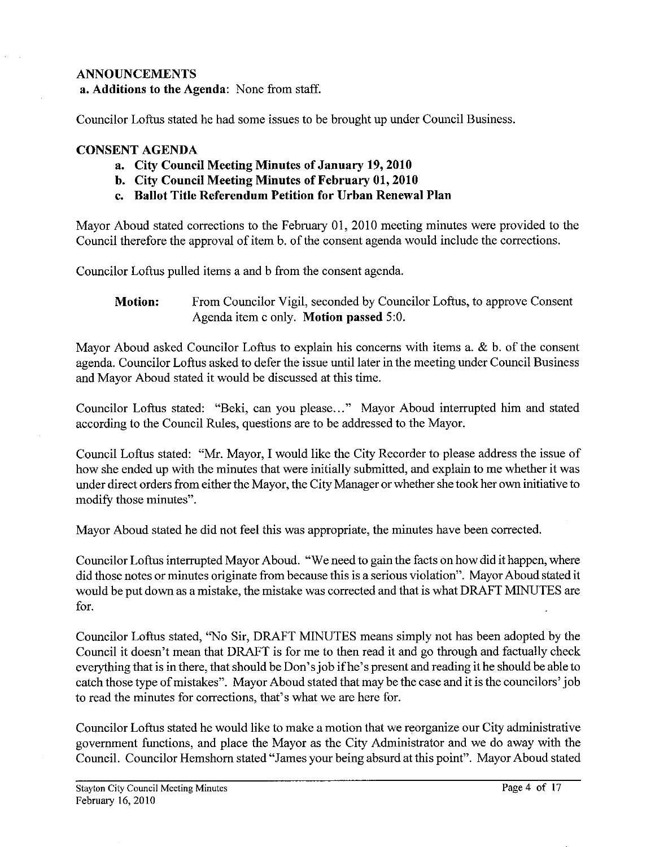## **ANNOUNCEMENTS**

**a. Additions to the Agenda:** None from staff.

Councilor Loftus stated he had some issues to be brought up under Council Business.

## **CONSENT AGENDA**

- **a. City Council Meeting Minutes of January 19,2010**
- **b. City Council Meeting Minutes of February 01,2010**
- **c. Ballot Title Referendum Petition for Urban Renewal Plan**

Mayor Aboud stated corrections to the February 01, 2010 meeting minutes were provided to the Council therefore the approval of item b. of the consent agenda would include the corrections.

Councilor Loftus pulled items a and b from the consent agenda.

**Motion:** From Councilor Vigil, seconded by Councilor Loftus, to approve Consent Agenda item c only. **Motion passed** 5:O.

Mayor Aboud asked Councilor Loftus to explain his concerns with items a. & b. of the consent agenda. Councilor Loftus asked to defer the issue until later in the meeting under Council Business and Mayor Aboud stated it would be discussed at this time.

Councilor Loftus stated: "Beki, can you please..." Mayor Aboud interrupted him and stated according to the Council Rules, questions are to be addressed to the Mayor.

Council Loftus stated: "Mr. Mayor, I would like the City Recorder to please address the issue of how she ended up with the minutes that were initially submitted, and explain to me whether it was under direct orders from either the Mayor, the City Manager or whether she took her own initiative to modify those minutes".

Mayor Aboud stated he did not feel this was appropriate, the minutes have been corrected.

Councilor Loftus interrupted Mayor Aboud. "We need to gain the facts on how did it happen, where did those notes or minutes originate fiom because this is a serious violation". Mayor Aboud stated it would be put down as a mistake, the mistake was corrected and that is what DRAFT MINUTES are for.

Councilor Loftus stated, "No Sir, DRAFT MINUTES means simply not has been adopted by the Council it doesn't mean that DRAFT is for me to then read it and go through and factually check everything that is in there, that should be Don's job if he's present and reading it he should be able to catch those type of mistakes". Mayor Aboud stated that may be the case and it is the councilors' job to read the minutes for corrections, that's what we are here for.

Councilor Loftus stated he would like to make a motion that we reorganize our City administrative government functions, and place the Mayor as the City Administrator and we do away with the Council. Councilor Hemshorn stated "James your being absurd at this point". Mayor Aboud stated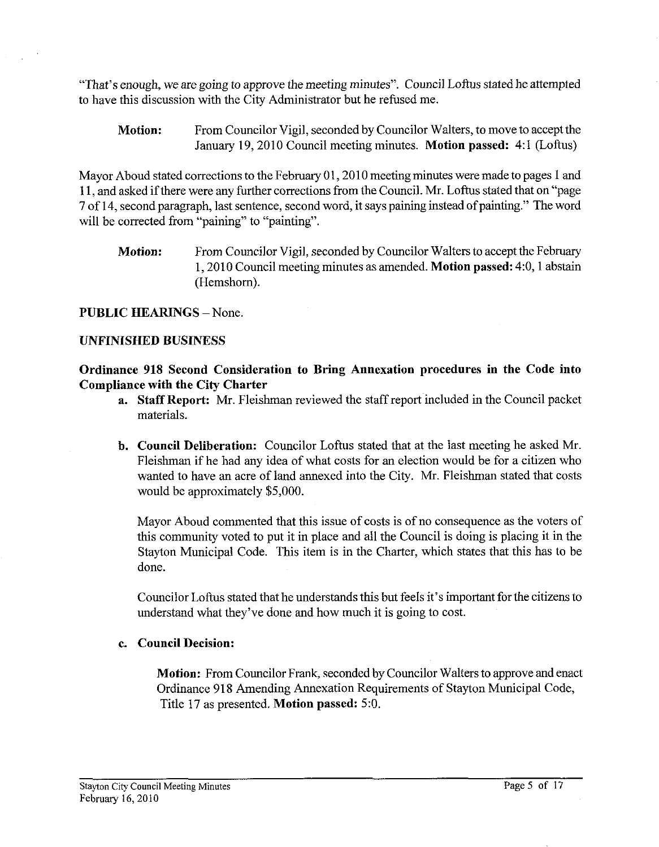"That's enough, we are going to approve the meeting minutes". Council Loftus stated he attempted to have this discussion with the City Administrator but he refused me.

**Motion:** From Councilor Vigil, seconded by Councilor Walters, to move to acceptthe January 19, 2010 Council meeting minutes. Motion passed: 4:1 (Loftus)

Mayor Aboud stated corrections to the February 01,2010 meeting minutes were made to pages 1 and I 1, and asked if there were any further corrections from the Council. Mr. Loftus stated that on "page 7 of 14, second paragraph, last sentence, second word, it says paining instead of painting." The word will be corrected from "paining" to "painting".

**Motion:** From Councilor Vigil, seconded by Councilor Walters to accept the February 1,2010 Council meeting minutes as amended. **Motion passed:** 4:0,1 abstain (Hemshom).

## **PUBLIC HEARINGS - None.**

### **UNFINISHED BUSINESS**

**Ordinance 918 Second Consideration to Bring Annexation procedures in the Code into Compliance with the City Charter** 

- **a. Staff Report:** Mr. Fleishman reviewed the staff report included in the Council packet materials.
- **b. Council Deliberation:** Councilor Loftus stated that at the last meeting he asked Mr. Fleishman if he had any idea of what costs for an election would be for a citizen who wanted to have an acre of land annexed into the City. Mr. Fleishman stated that costs would be approximately \$5,000.

Mayor Aboud commented that this issue of costs is of no consequence as the voters of this community voted to put it in place and all the Council is doing is placing it in the Stayton Municipal Code. This item is in the Charter, which states that this has to be done.

Councilor Loftus stated that he understands this but feels it's important forthe citizens to understand what they've done and how much it is going to cost.

## **c. Council Decision:**

**Motion:** From Councilor Frank, seconded by Councilor Walters to approve and enact Ordinance 918 Amending Annexation Requirements of Stayton Municipal Code, Title 17 as presented. **Motion passed:** 5:O.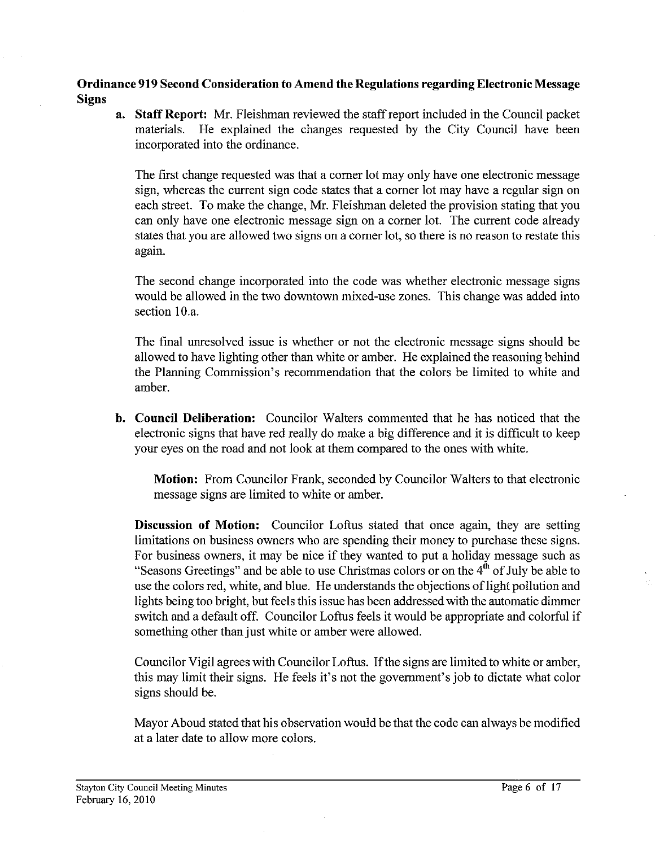## **Ordinance 919 Second Consideration to Amend the Regulations regarding Electronic Message Signs**

**a. Staff Report:** Mr. Fleishman reviewed the staff report included in the Council packet materials. He explained the changes requested by the City Council have been incorporated into the ordinance.

The first change requested was that a comer lot may only have one electronic message sign, whereas the current sign code states that a comer lot may have a regular sign on each street. To make the change, Mr. Fleishman deleted the provision stating that you can only have one electronic message sign on a comer lot. The current code already states that you are allowed two signs on a comer lot, so there is no reason to restate this again.

The second change incorporated into the code was whether electronic message signs would be allowed in the two downtown mixed-use zones. This change was added into section 10.a.

The final unresolved issue is whether or not the electronic message signs should be allowed to have lighting other than white or amber. He explained the reasoning behind the Planning Commission's recommendation that the colors be limited to white and amber.

**b. Council Deliberation:** Councilor Walters commented that he has noticed that the electronic signs that have red really do make a big difference and it is difficult to keep your eyes on the road and not look at them compared to the ones with white.

**Motion:** From Councilor Frank, seconded by Councilor Walters to that electronic message signs are limited to white or amber.

**Discussion of Motion:** Councilor Loftus stated that once again, they are setting limitations on business owners who are spending their money to purchase these signs. For business owners, it may be nice if they wanted to put a holiday message such as "Seasons Greetings" and be able to use Christmas colors or on the 4" of July be able to use the colors red, white, and blue. He understands the objections of light pollution and lights being too bright, but feels this issue has been addressed with the automatic dimmer switch and a default off. Councilor Loftus feels it would be appropriate and colorful if something other than just white or amber were allowed.

Councilor Vigil agrees with Councilor Loftus. Ifthe signs are limited to white or amber, this may limit their signs. He feels it's not the government's job to dictate what color signs should be.

Mayor Aboud stated that his observation would be that the code can always be modified at a later date to allow more colors.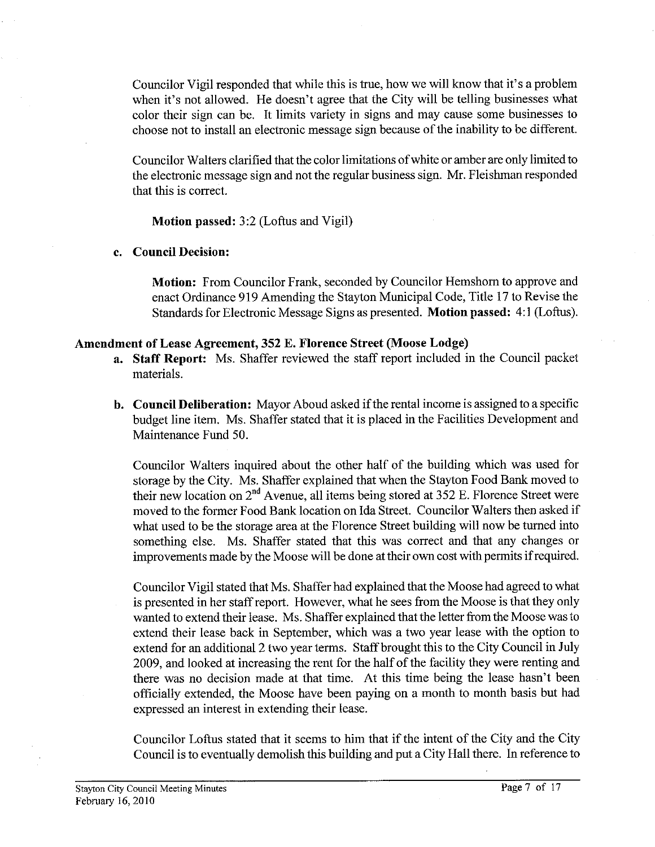Councilor Vigil responded that while this is true, how we will know that it's a problem when it's not allowed. He doesn't agree that the City will be telling businesses what color their sign can be. It limits variety in signs and may cause some businesses to choose not to install an electronic message sign because of the inability to be different.

Councilor Walters clarified that the color limitations of white or amber are only limited to the electronic message sign and not the regular business sign. Mr. Fleishman responded that this is correct.

**Motion passed:** 3:2 (Loftus and Vigil)

## **c. Council Decision:**

**Motion:** From Councilor Frank, seconded by Councilor Hemshorn to approve and enact Ordinance 919 Amending the Stayton Municipal Code, Title 17 to Revise the Standards for Electronic Message Signs as presented. **Motion passed:** 4: **1** (Loftus).

## **Amendment of Lease Agreement, 352 E. Florence Street (Moose Lodge)**

- **a. Staff Report:** Ms. Shaffer reviewed the staff report included in the Council packet materials.
- **b. Council Deliberation:** Mayor Aboud asked if the rental income is assigned to a specific budget line item. Ms. Shaffer stated that it is placed in the Facilities Development and Maintenance Fund 50.

Councilor Walters inquired about the other half of the building which was used for storage by the City. Ms. Shaffer explained that when the Stayton Food Bank moved to their new location on **2"d** Avenue, all items being stored at 352 E. Florence Street were moved to the former Food Bank location on Ida Street. Councilor Walters then asked if what used to be the storage area at the Florence Street building will now be turned into something else. Ms. Shaffer stated that this was correct and that any changes or improvements made by the Moose will be done at their own cost with permits if required.

Councilor Vigil stated that Ms. Shaffer had explained that the Moose had agreed to what is presented in her staff report. However, what he sees from the Moose is that they only wanted to extend their lease. Ms. Shaffer explained that the letter from the Moose was to extend their lease back in September, which was a two year lease with the option to extend for an additional 2 two year terms. Staff brought this to the City Council in July 2009, and looked at increasing the rent for the half of the facility they were renting and there was no decision made at that time. At this time being the lease hasn't been officially extended, the Moose have been paying on a month to month basis but had expressed an interest in extending their lease.

Councilor Loftus stated that it seems to him that if the intent of the City and the City Council is to eventually demolish this building and put a City Hall there. In reference to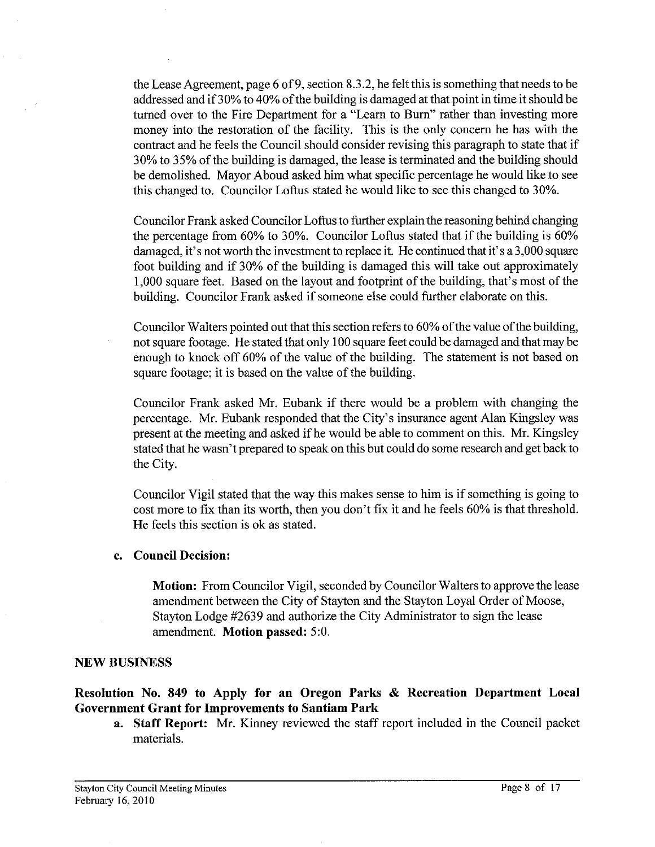the Lease Agreement, page 6 of 9, section 8.3.2, he felt this is something that needs to be addressed and if 30% to 40% of the building is damaged at that point in time it should be turned over to the Fire Department for a "Learn to Bum" rather than investing more money into the restoration of the facility. This is the only concern he has with the contract and he feels the Council should consider revising this paragraph to state that if 30% to 35% of the building is damaged, the lease is terminated and the building should be demolished. Mayor Aboud asked him what specific percentage he would like to see this changed to. Councilor Loftus stated he would like to see this changed to 30%.

Councilor Frank asked Councilor Loftus to further explain the reasoning behind changing the percentage from 60% to 30%. Councilor Loftus stated that if the building is 60% damaged, it's not worth the investment to replace it. He continued that it's a 3,000 square foot building and if 30% of the building is damaged this will take out approximately 1,000 square feet. Based on the layout and footprint of the building, that's most of the building. Councilor Frank asked if someone else could further elaborate on this.

Councilor Walters pointed out that this section refers to 60% of the value of the building, not square footage. He stated that only 100 square feet could be damaged and that may be enough to knock off 60% of the value of the building. The statement is not based on square footage; it is based on the value of the building.

Councilor Frank asked Mr. Eubank if there would be a problem with changing the percentage. Mr. Eubank responded that the City's insurance agent Alan Kingsley was present at the meeting and asked if he would be able to comment on this. Mr. Kingsley stated that he wasn't prepared to speak on this but could do some research and get back to the City.

Councilor Vigil stated that the way this makes sense to him is if something is going to cost more to fix than its worth, then you don't fix it and he feels 60% is that threshold. He feels this section is ok as stated.

### **c. Council Decision:**

**Motion:** From Councilor Vigil, seconded by Councilor Walters to approve the lease amendment between the City of Stayton and the Stayton Loyal Order of Moose, Stayton Lodge #2639 and authorize the City Administrator to sign the lease amendment. **Motion passed:** 5:O.

# **NEW BUSINESS**

# **Resolution No. 849 to Apply for an Oregon Parks** & **Recreation Department Local Government Grant for Improvements to Santiam Park**

**a. Staff Report:** Mr. Kinney reviewed the staff report included in the Council packet materials.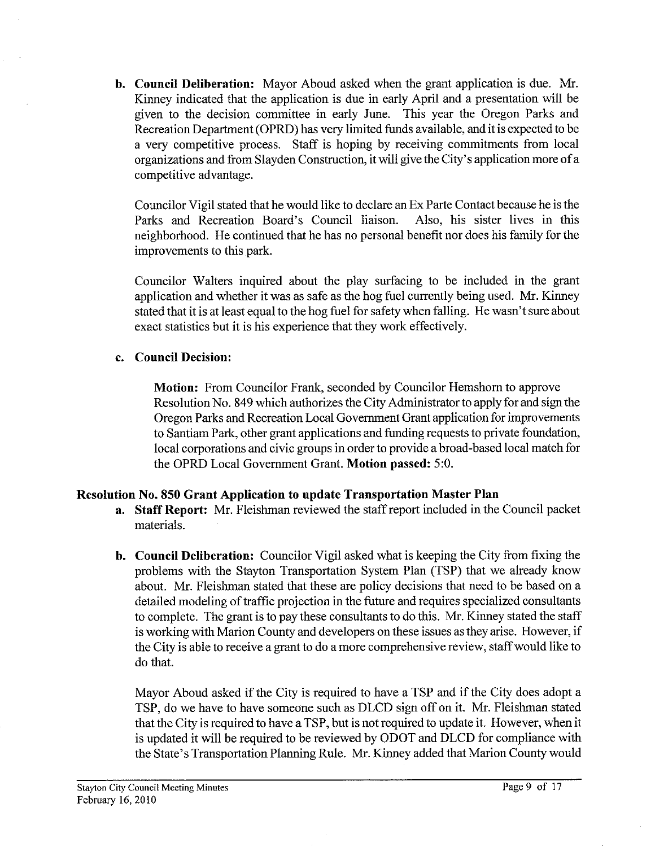**b. Council Deliberation:** Mayor Aboud asked when the grant application is due. Mr. Kinney indicated that the application is due in early April and a presentation will be given to the decision committee in early June. This year the Oregon Parks and Recreation Department (OPRD) has very limited funds available, and it is expected to be a very competitive process. Staff is hoping by receiving commitments from local organizations and from Slayden Construction, it will give the City's application more of a competitive advantage.

Councilor Vigil stated that he would like to declare an Ex Parte Contact because he is the Parks and Recreation Board's Council liaison. Also, his sister lives in this neighborhood. He continued that he has no personal benefit nor does his family for the improvements to this park.

Councilor Walters inquired about the play surfacing to be included in the grant application and whether it was as safe as the hog fuel currently being used. Mr. Kinney stated that it is at least equal to the hog fuel for safety when falling. He wasn't sure about exact statistics but it is his experience that they work effectively.

# **c. Council Decision:**

**Motion:** From Councilor Frank, seconded by Councilor Hemshorn to approve Resolution No. 849 which authorizes the City Administrator to apply for and sign the Oregon Parks and Recreation Local Government Grant application for improvements to Santiam Park, other grant applications and funding requests to private foundation, local corporations and civic groups in order to provide a broad-based local match for the OPRD Local Government Grant. **Motion passed:** 5:0.

# **Resolution No. 850 Grant Application to update Transportation Master Plan**

- **a. Staff Report:** Mr. Fleishman reviewed the staff report included in the Council packet materials.
- **b. Council Deliberation:** Councilor Vigil asked what is keeping the City from fixing the problems with the Stayton Transportation System Plan (TSP) that we already know about. Mr. Fleishman stated that these are policy decisions that need to be based on a detailed modeling of traffic projection in the future and requires specialized consultants to complete. The grant is to pay these consultants to do this. Mr. Kinney stated the staff is working with Marion County and developers on these issues as they arise. However, if the City is able to receive a grant to do a more comprehensive review, staff would like to do that.

Mayor Aboud asked if the City is required to have a TSP and if the City does adopt a TSP, do we have to have someone such as DLCD sign off on it. Mr. Fleishman stated that the City is required to have a TSP, but is not required to update it. However, when it is updated it will be required to be reviewed by ODOT and DLCD for compliance with the State's Transportation Planning Rule. Mr. Kinney added that Marion County would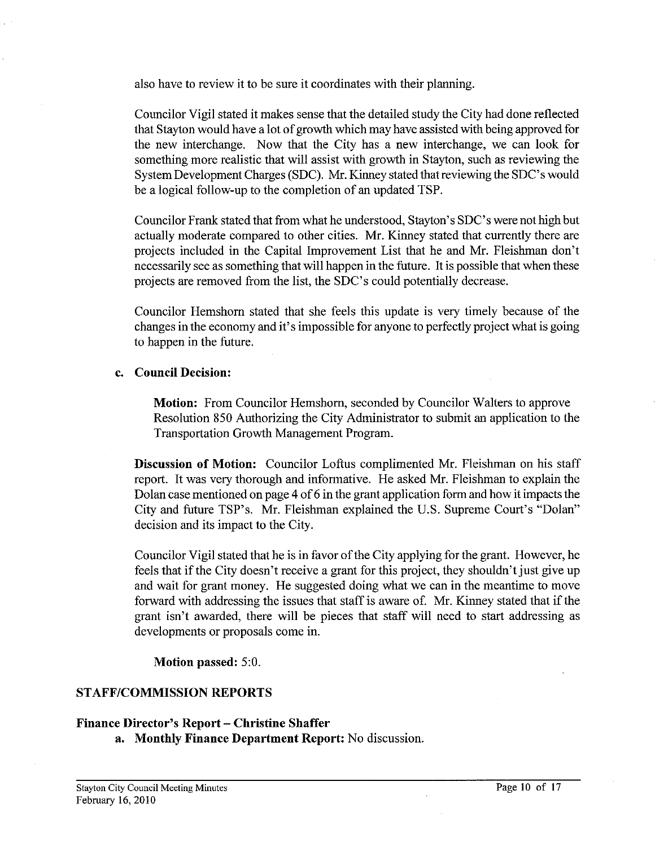also have to review it to be sure it coordinates with their planning.

Councilor Vigil stated it makes sense that the detailed study the City had done reflected that Stayton would have a lot of growth which may have assisted with being approved for the new interchange. Now that the City has a new interchange, we can look for something more realistic that will assist with growth in Stayton, such as reviewing the System Development Charges (SDC). Mr. Kinney stated that reviewing the SDC's would be a logical follow-up to the completion of an updated TSP.

Councilor Frank stated that from what he understood, Stayton's SDC's were not high but actually moderate compared to other cities. Mr. Kinney stated that currently there are projects included in the Capital Improvement List that he and Mr. Fleishman don't necessarily see as something that will happen in the future. It is possible that when these projects are removed from the list, the SDC's could potentially decrease.

Councilor Hemshom stated that she feels this update is very timely because of the changes in the economy and it's impossible for anyone to perfectly project what is going to happen in the future.

## **c. Council Decision:**

**Motion:** From Councilor Hemshom, seconded by Councilor Walters to approve Resolution 850 Authorizing the City Administrator to submit an application to the Transportation Growth Management Program.

**Discussion of Motion:** Councilor Loftus complimented Mr. Fleishman on his staff report. It was very thorough and informative. He asked Mr. Fleishman to explain the Dolan case mentioned on page 4 of 6 in the grant application form and how it impacts the City and future TSP's. Mr. Fleishman explained the U.S. Supreme Court's "Dolan" decision and its impact to the City.

Councilor Vigil stated that he is in favor of the City applying for the grant. However, he feels that if the City doesn't receive a grant for this project, they shouldn't just give up and wait for grant money. He suggested doing what we can in the meantime to move forward with addressing the issues that staff is aware of. Mr. Kinney stated that if the grant isn't awarded, there will be pieces that staff will need to start addressing as developments or proposals come in.

**Motion passed:** 5:O.

# **STAFFICOMMISSION REPORTS**

# **Finance Director's Report – Christine Shaffer**

**a. Monthly Finance Department Report:** No discussion.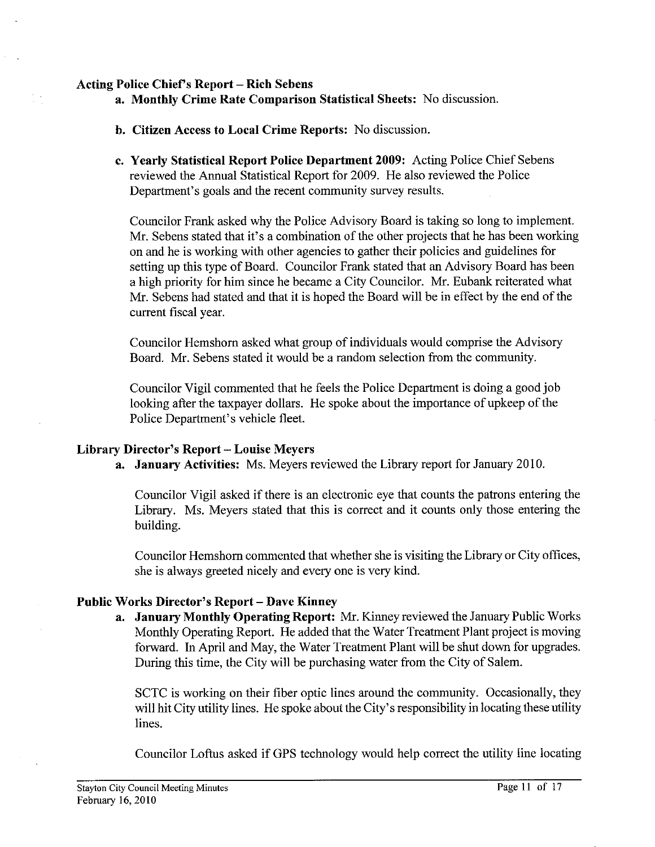### **Acting Police Chiefs Report** - **Rich Sebens**

- **a. Monthly Crime Rate Comparison Statistical Sheets:** No discussion.
- **h. Citizen Access to Local Crime Reports:** No discussion.
- **c. Yearly Statistical Report Police Department 2009:** Acting Police Chief Sebens reviewed the Annual Statistical Report for 2009. He also reviewed the Police Department's goals and the recent community survey results.

Councilor Frank asked why the Police Advisory Board is taking so long to implement. Mr. Sebens stated that it's a combination of the other projects that he has been working on and he is working with other agencies to gather their policies and guidelines for setting up this type of Board. Councilor Frank stated that an Advisory Board has been a high priority for him since he became a City Councilor. Mr. Eubank reiterated what Mr. Sebens had stated and that it is hoped the Board will be in effect by the end of the current fiscal year.

Councilor Hemshom asked what group of individuals would comprise the Advisory Board. Mr. Sebens stated it would be a random selection from the community.

Councilor Vigil commented that he feels the Police Department is doing a good job looking after the taxpayer dollars. He spoke about the importance of upkeep of the Police Department's vehicle fleet.

### **Library Director's Report** - **Louise Meyers**

**a. January Activities:** Ms. Meyers reviewed the Library report for January 2010.

Councilor Vigil asked if there is an electronic eye that counts the patrons entering the Library. Ms. Meyers stated that this is correct and it counts only those entering the building.

Councilor Hemshom commented that whether she is visiting the Library or City offices, she is always greeted nicely and every one is very kind.

### Public Works Director's Report - Dave Kinney

**a. January Monthly Operating Report:** Mr. Kinney reviewed the January Public Works Monthly Operating Report. He added that the Water Treatment Plant project is moving forward. In April and May, the Water Treatment Plant will be shut down for upgrades. During this time, the City will be purchasing water from the City of Salem.

SCTC is working on their fiber optic lines around the community. Occasionally, they will hit City utility lines. He spoke about the City's responsibility in locating these utility lines.

Councilor Loftus asked if GPS technology would help correct the utility line locating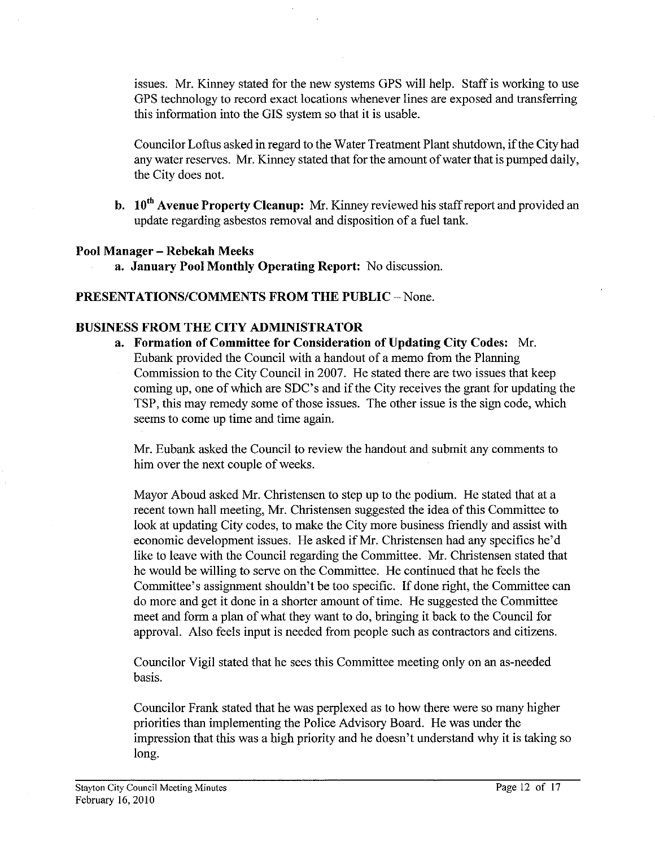issues. Mr. Kinney stated for the new systems GPS will help. Staff is working to use GPS technology to record exact locations whenever lines are exposed and transferring this information into the GIs system so that it is usable.

Councilor Loftus asked in regard to the Water Treatment Plant shutdown, if the City had any water reserves. Mr. Kinney stated that for the amount of water that is pumped daily, the City does not.

**b.** 10<sup>th</sup> Avenue Property Cleanup: Mr. Kinney reviewed his staff report and provided an update regarding asbestos removal and disposition of a fuel tank.

## **Pool Manager** - **Rebekah Meeks**

**a. January Pool Monthly Operating Report:** No discussion.

# **PRESENTATIONS/COMMENTS FROM THE PUBLIC - None.**

## **BUSINESS FROM THE CITY ADMINISTRATOR**

**a. Formation of Committee for Consideration of Updating City Codes:** Mr. Eubank provided the Council with a handout of a memo from the Planning Commission to the City Council in 2007. He stated there are two issues that keep coming up, one of which are SDC's and if the City receives the grant for updating the TSP, this may remedy some of those issues. The other issue is the sign code, which seems to come up time and time again.

Mr. Eubank asked the Council to review the handout and submit any comments to him over the next couple of weeks.

Mayor Aboud asked Mr. Christensen to step up to the podium. He stated that at a recent town hall meeting, Mr. Christensen suggested the idea of this Committee to look at updating City codes, to make the City more business friendly and assist with economic development issues. He asked if Mr. Christensen had any specifics he'd like to leave with the Council regarding the Committee. Mr. Christensen stated that he would be willing to serve on the Committee. He continued that he feels the Committee's assignment shouldn't be too specific. If done right, the Committee can do more and get it done in a shorter amount of time. He suggested the Committee meet and form a plan of what they want to do, bringing it back to the Council for approval. Also feels input is needed from people such as contractors and citizens.

Councilor Vigil stated that he sees this Committee meeting only on an as-needed basis.

Councilor Frank stated that he was perplexed as to how there were so many higher priorities than implementing the Police Advisory Board. He was under the impression that this was a high priority and he doesn't understand why it is taking so long.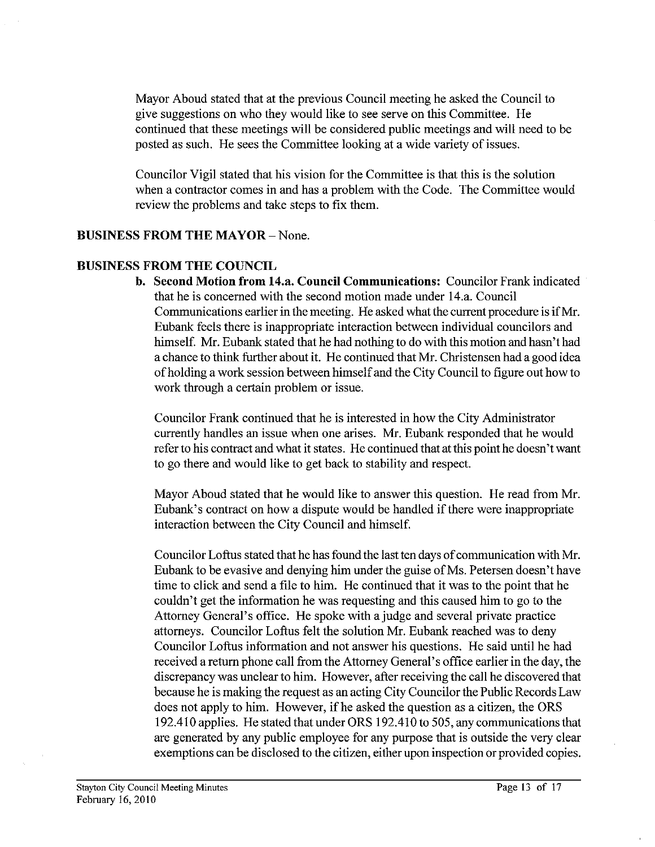Mayor Aboud stated that at the previous Council meeting he asked the Council to give suggestions on who they would like to see serve on this Committee. He continued that these meetings will be considered public meetings and will need to be posted as such. He sees the Committee looking at a wide variety of issues.

Councilor Vigil stated that his vision for the Committee is that this is the solution when a contractor comes in and has a problem with the Code. The Committee would review the problems and take steps to fix them.

# **BUSINESS FROM THE MAYOR - None.**

## **BUSINESS FROM THE COUNCIL**

**b. Second Motion from 14.a. Council Communications:** Councilor Frank indicated that he is concerned with the second motion made under 14.a. Council Communications earlier in the meeting. He asked what the current procedure is if Mr. Eubank feels there is inappropriate interaction between individual councilors and himself. Mr. Eubank stated that he had nothing to do with this motion and hasn't had a chance to think further about it. He continued that Mr. Christensen had a good idea of holding a work session between himself and the City Council to figure out how to work through a certain problem or issue.

Councilor Frank continued that he is interested in how the City Administrator currently handles an issue when one arises. Mr. Eubank responded that he would refer to his contract and what it states. He continued that at this point he doesn't want to go there and would like to get back to stability and respect

Mayor Aboud stated that he would like to answer this question. He read from Mr. Eubank's contract on how a dispute would be handled if there were inappropriate interaction between the City Council and himself.

Councilor Loftus stated that he has found the last ten days of communication with Mr. Eubank to be evasive and denying him under the guise of Ms. Petersen doesn't have time to click and send a file to him. He continued that it was to the point that he couldn't get the information he was requesting and this caused him to go to the Attorney General's office. He spoke with a judge and several private practice attorneys. Councilor Loftus felt the solution Mr. Eubank reached was to deny Councilor Loftus information and not answer his questions. He said until he had received a return phone call from the Attorney General's office earlier in the day, the discrepancy was unclear to him. However, after receiving the call he discovered that because he is making the request as an acting City Councilor the Public Records Law does not apply to him. However, if he asked the question as a citizen, the ORS 192.410 applies. He stated that under ORS 192.410 to 505, any communications that are generated by any public employee for any purpose that is outside the very clear exemptions can be disclosed to the citizen, either upon inspection or provided copies.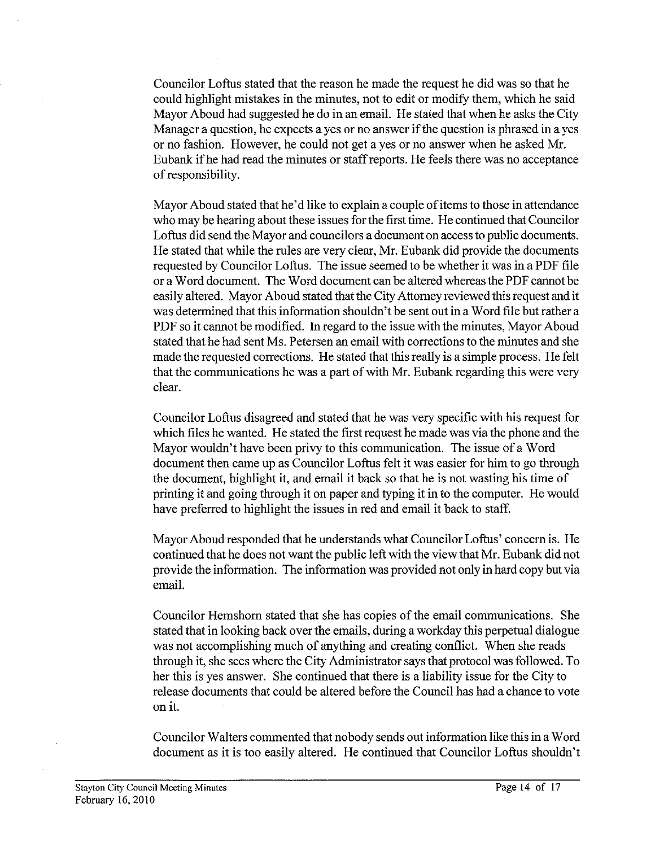Councilor Loftus stated that the reason he made the request he did was so that he could highlight mistakes in the minutes, not to edit or modify them, which he said Mayor Aboud had suggested he do in an email. He stated that when he asks the City Manager a question, he expects a yes or no answer if the question is phrased in a yes or no fashion. However, he could not get a yes or no answer when he asked Mr. Eubank if he had read the minutes or staff reports. He feels there was no acceptance of responsibility.

Mayor Aboud stated that he'd like to explain a couple of items to those in attendance who may be hearing about these issues for the first time. He continued that Councilor Loftus did send the Mayor and councilors a document on access to public documents. He stated that while the rules are very clear, Mr. Eubank did provide the documents requested by Councilor Loftus. The issue seemed to be whether it was in a PDF file or a Word document. The Word document can be altered whereas the PDF cannot be easily altered. Mayor Aboud stated that the City Attorney reviewed this request and it was determined that this information shouldn't be sent out in a Word file but rather a PDF so it cannot be modified. In regard to the issue with the minutes, Mayor Aboud stated that he had sent Ms. Petersen an email with corrections to the minutes and she made the requested corrections. He stated that this really is a simple process. He felt that the communications he was a part of with Mr. Eubank regarding this were very clear.

Councilor Loftus disagreed and stated that he was very specific with his request for which files he wanted. He stated the first request he made was via the phone and the Mayor wouldn't have been privy to this communication. The issue of a Word document then came up as Councilor Loftus felt it was easier for him to go through the document, highlight it, and email it back so that he is not wasting his time of printing it and going through it on paper and typing it in to the computer. He would have preferred to highlight the issues in red and email it back to staff.

Mayor Aboud responded that he understands what Councilor Loftus' concern is. He continued that he does not want the public left with the view that Mr. Eubank did not provide the information. The information was provided not only in hard copy but via email.

Councilor Hemshom stated that she has copies of the email communications. She stated that in looking back over the emails, during a workday this perpetual dialogue was not accomplishing much of anything and creating conflict. When she reads through it, she sees where the City Administrator says that protocol was followed. To her this is yes answer. She continued that there is a liability issue for the City to release documents that could be altered before the Council has had a chance to vote on it.

Councilor Walters commented that nobody sends out information like this in a Word document as it is too easily altered. He continued that Councilor Loftus shouldn't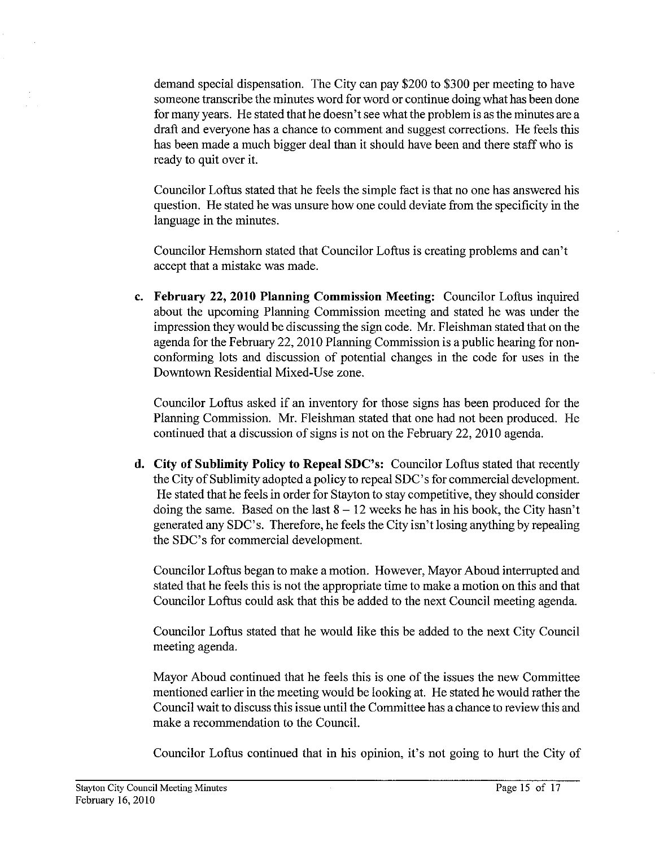demand special dispensation. The City can pay \$200 to \$300 per meeting to have someone transcribe the minutes word for word or continue doing what has been done for many years. He stated that he doesn't see what the problem is as the minutes are a draft and everyone has a chance to comment and suggest corrections. He feels this has been made a much bigger deal than it should have been and there staff who is ready to quit over it.

Councilor Loftus stated that he feels the simple fact is that no one has answered his question. He stated he was unsure how one could deviate from the specificity in the language in the minutes.

Councilor Hemshom stated that Councilor Loftus is creating problems and can't accept that a mistake was made.

**c. February 22, 2010 Planning Commission Meeting:** Councilor Loftus inquired about the upcoming Planning Commission meeting and stated he was under the impression they would be discussing the sign code. Mr. Fleishman stated that on the agenda for the February 22,2010 Planning Commission is a public hearing for nonconforming lots and discussion of potential changes in the code for uses in the Downtown Residential Mixed-Use zone.

Councilor Loftus asked if an inventory for those signs has been produced for the Planning Commission. Mr. Fleishman stated that one had not been produced. He continued that a discussion of signs is not on the February 22,2010 agenda.

**d. City of Sublimity Policy to Repeal SDC's:** Councilor Loftus stated that recently the City of Sublimity adopted a policy to repeal SDC's for commercial development. He stated that he feels in order for Stayton to stay competitive, they should consider doing the same. Based on the last  $8 - 12$  weeks he has in his book, the City hasn't generated any SDC's. Therefore, he feels the City isn't losing anything by repealing the SDC's for commercial development.

Councilor Loftus began to make a motion. However, Mayor Aboud interrupted and stated that he feels this is not the appropriate time to make a motion on this and that Councilor Loftus could ask that this be added to the next Council meeting agenda.

Councilor Loftus stated that he would like this be added to the next City Council meeting agenda.

Mayor Aboud continued that he feels this is one of the issues the new Committee mentioned earlier in the meeting would be looking at. He stated he would rather the Council wait to discuss this issue until the Committee has achance to review this and make a recommendation to the Council.

Councilor Loftus continued that in his opinion, it's not going to hurt the City of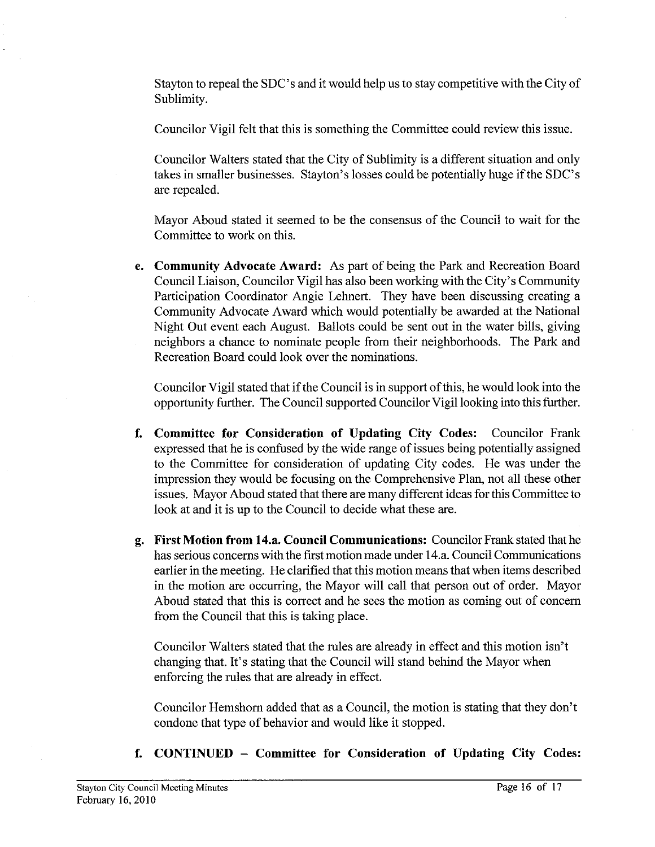Stayton to repeal the SDC's and it would help us to stay competitive with the City of Sublimity.

Councilor Vigil felt that this is something the Committee could review this issue.

Councilor Walters stated that the City of Sublimity is a different situation and only takes in smaller businesses. Stayton's losses could be potentially huge if the SDC's are repealed.

Mayor Aboud stated it seemed to be the consensus of the Council to wait for the Committee to work on this.

**e. Community Advocate Award:** As part of being the Park and Recreation Board Council Liaison, Councilor Vigil has also been working with the City's Community Participation Coordinator Angie Lehnert. They have been discussing creating a Community Advocate Award which would potentially be awarded at the National Night Out event each August. Ballots could be sent out in the water bills, giving neighbors a chance to nominate people from their neighborhoods. The Park and Recreation Board could look over the nominations.

Councilor Vigil stated that if the Council is in support of this, he would look into the opportunity further. The Council supported Councilor Vigil looking into this further.

- **f. Committee for Consideration of Updating City Codes:** Councilor Frank expressed that he is confused by the wide range of issues being potentially assigned to the Committee for consideration of updating City codes. He was under the impression they would be focusing on the Comprehensive Plan, not all these other issues. Mayor Aboud stated that there are many different ideas for this Committee to look at and it is up to the Council to decide what these are.
- **g. First Motion from 14.a. Council Communications:** Councilor Frank stated that he has serious concerns with the first motion made under 14.a. Council Communications earlier in the meeting. He clarified that this motion means that when items described in the motion are occurring, the Mayor will call that person out of order. Mayor Aboud stated that this is correct and he sees the motion as coming out of concern from the Council that this is taking place.

Councilor Walters stated that the rules are already in effect and this motion isn't changing that. It's stating that the Council will stand behind the Mayor when enforcing the rules that are already in effect.

Councilor Hemshorn added that as a Council, the motion is stating that they don't condone that type of behavior and would like it stopped.

**f. CONTINUED** - **Committee for Consideration of Updating City Codes:**